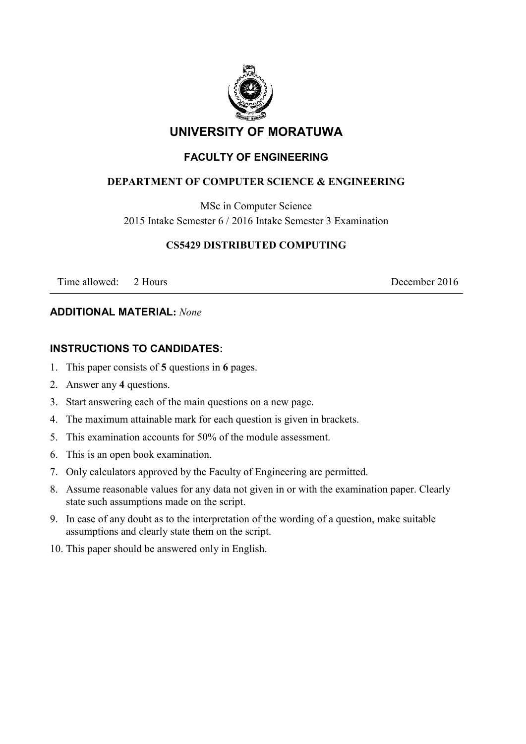

# **UNIVERSITY OF MORATUWA**

# **FACULTY OF ENGINEERING**

#### **DEPARTMENT OF COMPUTER SCIENCE & ENGINEERING**

MSc in Computer Science

2015 Intake Semester 6 / 2016 Intake Semester 3 Examination

#### **CS5429 DISTRIBUTED COMPUTING**

Time allowed: 2 Hours 2016

#### **ADDITIONAL MATERIAL:** *None*

## **INSTRUCTIONS TO CANDIDATES:**

- 1. This paper consists of **5** questions in **6** pages.
- 2. Answer any **4** questions.
- 3. Start answering each of the main questions on a new page.
- 4. The maximum attainable mark for each question is given in brackets.
- 5. This examination accounts for 50% of the module assessment.
- 6. This is an open book examination.
- 7. Only calculators approved by the Faculty of Engineering are permitted.
- 8. Assume reasonable values for any data not given in or with the examination paper. Clearly state such assumptions made on the script.
- 9. In case of any doubt as to the interpretation of the wording of a question, make suitable assumptions and clearly state them on the script.
- 10. This paper should be answered only in English.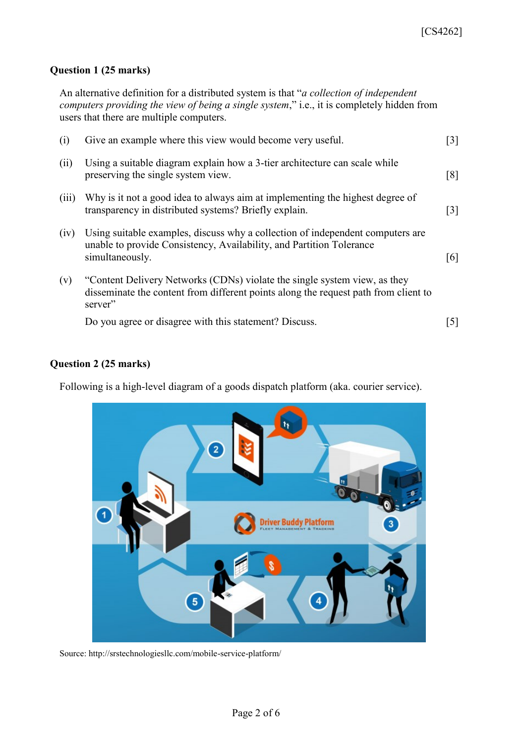#### **Question 1 (25 marks)**

An alternative definition for a distributed system is that "*a collection of independent computers providing the view of being a single system*," i.e., it is completely hidden from users that there are multiple computers.

| (i)   | Give an example where this view would become very useful.                                                                                                                   | $[3]$             |
|-------|-----------------------------------------------------------------------------------------------------------------------------------------------------------------------------|-------------------|
| (ii)  | Using a suitable diagram explain how a 3-tier architecture can scale while<br>preserving the single system view.                                                            | $\lceil 8 \rceil$ |
| (iii) | Why is it not a good idea to always aim at implementing the highest degree of<br>transparency in distributed systems? Briefly explain.                                      | $\lceil 3 \rceil$ |
| (iv)  | Using suitable examples, discuss why a collection of independent computers are<br>unable to provide Consistency, Availability, and Partition Tolerance<br>simultaneously.   | [6]               |
| (v)   | "Content Delivery Networks (CDNs) violate the single system view, as they<br>disseminate the content from different points along the request path from client to<br>server" |                   |
|       | Do you agree or disagree with this statement? Discuss.                                                                                                                      | 5                 |

## **Question 2 (25 marks)**

Following is a high-level diagram of a goods dispatch platform (aka. courier service).



Source: http://srstechnologiesllc.com/mobile-service-platform/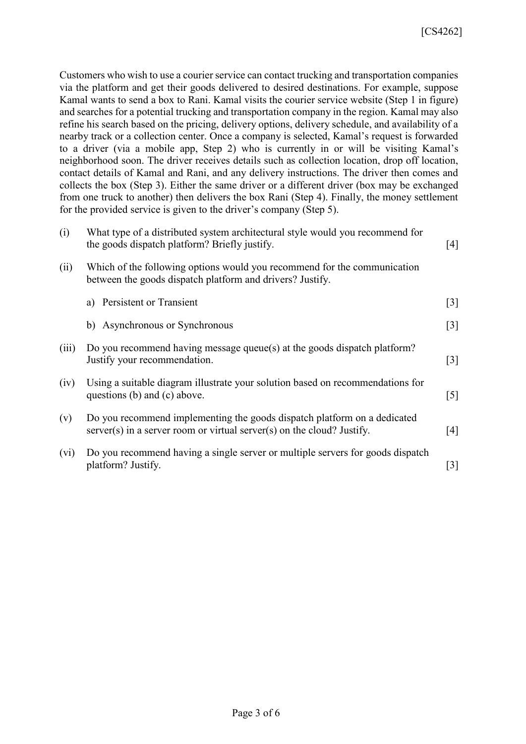Customers who wish to use a courier service can contact trucking and transportation companies via the platform and get their goods delivered to desired destinations. For example, suppose Kamal wants to send a box to Rani. Kamal visits the courier service website (Step 1 in figure) and searches for a potential trucking and transportation company in the region. Kamal may also refine his search based on the pricing, delivery options, delivery schedule, and availability of a nearby track or a collection center. Once a company is selected, Kamal's request is forwarded to a driver (via a mobile app, Step 2) who is currently in or will be visiting Kamal's neighborhood soon. The driver receives details such as collection location, drop off location, contact details of Kamal and Rani, and any delivery instructions. The driver then comes and collects the box (Step 3). Either the same driver or a different driver (box may be exchanged from one truck to another) then delivers the box Rani (Step 4). Finally, the money settlement for the provided service is given to the driver's company (Step 5).

| (i)     | What type of a distributed system architectural style would you recommend for<br>the goods dispatch platform? Briefly justify.                       | [4]               |
|---------|------------------------------------------------------------------------------------------------------------------------------------------------------|-------------------|
| (ii)    | Which of the following options would you recommend for the communication<br>between the goods dispatch platform and drivers? Justify.                |                   |
|         | a) Persistent or Transient                                                                                                                           | $[3]$             |
|         | b) Asynchronous or Synchronous                                                                                                                       | $[3]$             |
| (iii)   | Do you recommend having message queue(s) at the goods dispatch platform?<br>Justify your recommendation.                                             | $\lceil 3 \rceil$ |
| (iv)    | Using a suitable diagram illustrate your solution based on recommendations for<br>questions (b) and (c) above.                                       | $\lceil 5 \rceil$ |
| (v)     | Do you recommend implementing the goods dispatch platform on a dedicated<br>$server(s)$ in a server room or virtual server(s) on the cloud? Justify. | [4]               |
| $(v_i)$ | Do you recommend having a single server or multiple servers for goods dispatch<br>platform? Justify.                                                 | $[3]$             |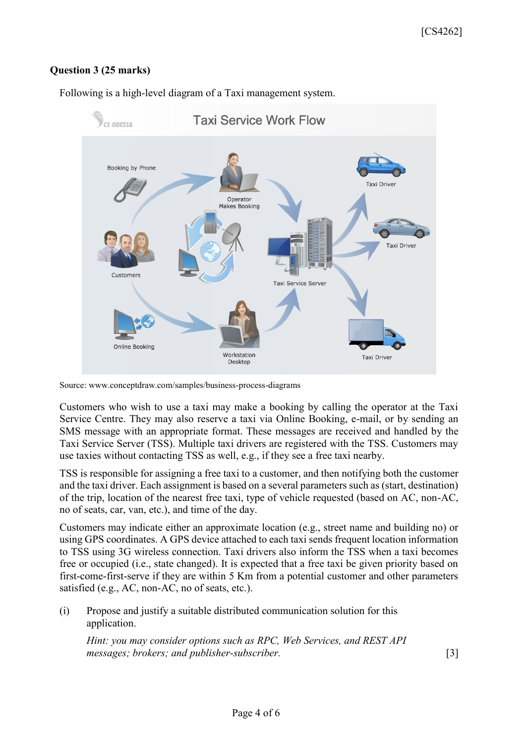# **Question 3 (25 marks)**

Following is a high-level diagram of a Taxi management system.



Source: www.conceptdraw.com/samples/business-process-diagrams

Customers who wish to use a taxi may make a booking by calling the operator at the Taxi Service Centre. They may also reserve a taxi via Online Booking, e-mail, or by sending an SMS message with an appropriate format. These messages are received and handled by the Taxi Service Server (TSS). Multiple taxi drivers are registered with the TSS. Customers may use taxies without contacting TSS as well, e.g., if they see a free taxi nearby.

TSS is responsible for assigning a free taxi to a customer, and then notifying both the customer and the taxi driver. Each assignment is based on a several parameters such as (start, destination) of the trip, location of the nearest free taxi, type of vehicle requested (based on AC, non-AC, no of seats, car, van, etc.), and time of the day.

Customers may indicate either an approximate location (e.g., street name and building no) or using GPS coordinates. A GPS device attached to each taxi sends frequent location information to TSS using 3G wireless connection. Taxi drivers also inform the TSS when a taxi becomes free or occupied (i.e., state changed). It is expected that a free taxi be given priority based on first-come-first-serve if they are within 5 Km from a potential customer and other parameters satisfied (e.g., AC, non-AC, no of seats, etc.).

(i) Propose and justify a suitable distributed communication solution for this application.

*Hint: you may consider options such as RPC, Web Services, and REST API messages; brokers; and publisher-subscriber.* [3]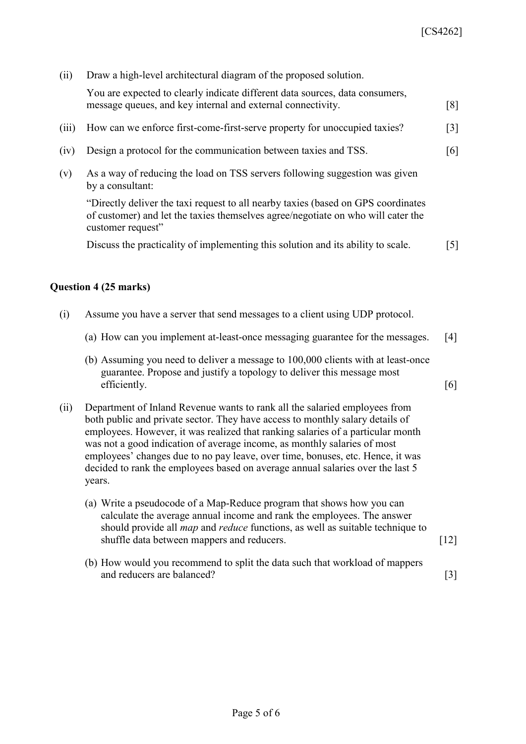| (ii)  | Draw a high-level architectural diagram of the proposed solution.                                                                                                                                                                                                                                                                                                                                                                                                                                        |                   |
|-------|----------------------------------------------------------------------------------------------------------------------------------------------------------------------------------------------------------------------------------------------------------------------------------------------------------------------------------------------------------------------------------------------------------------------------------------------------------------------------------------------------------|-------------------|
|       | You are expected to clearly indicate different data sources, data consumers,<br>message queues, and key internal and external connectivity.                                                                                                                                                                                                                                                                                                                                                              | [8]               |
| (iii) | How can we enforce first-come-first-serve property for unoccupied taxies?                                                                                                                                                                                                                                                                                                                                                                                                                                | $[3]$             |
| (iv)  | Design a protocol for the communication between taxies and TSS.                                                                                                                                                                                                                                                                                                                                                                                                                                          | [6]               |
| (v)   | As a way of reducing the load on TSS servers following suggestion was given<br>by a consultant:                                                                                                                                                                                                                                                                                                                                                                                                          |                   |
|       | "Directly deliver the taxi request to all nearby taxies (based on GPS coordinates<br>of customer) and let the taxies themselves agree/negotiate on who will cater the<br>customer request"                                                                                                                                                                                                                                                                                                               |                   |
|       | Discuss the practicality of implementing this solution and its ability to scale.                                                                                                                                                                                                                                                                                                                                                                                                                         | $\lceil 5 \rceil$ |
|       | Question 4 (25 marks)                                                                                                                                                                                                                                                                                                                                                                                                                                                                                    |                   |
| (i)   | Assume you have a server that send messages to a client using UDP protocol.                                                                                                                                                                                                                                                                                                                                                                                                                              |                   |
|       | (a) How can you implement at-least-once messaging guarantee for the messages.                                                                                                                                                                                                                                                                                                                                                                                                                            | [4]               |
|       | (b) Assuming you need to deliver a message to 100,000 clients with at least-once<br>guarantee. Propose and justify a topology to deliver this message most<br>efficiently.                                                                                                                                                                                                                                                                                                                               | [6]               |
| (ii)  | Department of Inland Revenue wants to rank all the salaried employees from<br>both public and private sector. They have access to monthly salary details of<br>employees. However, it was realized that ranking salaries of a particular month<br>was not a good indication of average income, as monthly salaries of most<br>employees' changes due to no pay leave, over time, bonuses, etc. Hence, it was<br>decided to rank the employees based on average annual salaries over the last 5<br>years. |                   |
|       | (a) Write a pseudocode of a Map-Reduce program that shows how you can<br>calculate the average annual income and rank the employees. The answer<br>should provide all <i>map</i> and <i>reduce</i> functions, as well as suitable technique to                                                                                                                                                                                                                                                           |                   |

(b) How would you recommend to split the data such that workload of mappers and reducers are balanced? [3]

shuffle data between mappers and reducers. [12]